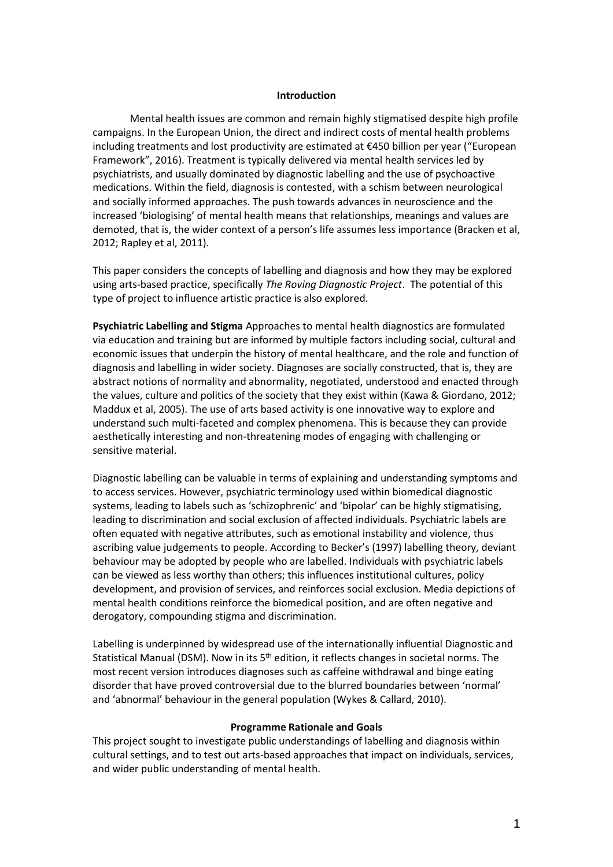#### **Introduction**

Mental health issues are common and remain highly stigmatised despite high profile campaigns. In the European Union, the direct and indirect costs of mental health problems including treatments and lost productivity are estimated at €450 billion per year ("European Framework", 2016). Treatment is typically delivered via mental health services led by psychiatrists, and usually dominated by diagnostic labelling and the use of psychoactive medications. Within the field, diagnosis is contested, with a schism between neurological and socially informed approaches. The push towards advances in neuroscience and the increased 'biologising' of mental health means that relationships, meanings and values are demoted, that is, the wider context of a person's life assumes less importance (Bracken et al, 2012; Rapley et al, 2011).

This paper considers the concepts of labelling and diagnosis and how they may be explored using arts-based practice, specifically *The Roving Diagnostic Project*. The potential of this type of project to influence artistic practice is also explored.

**Psychiatric Labelling and Stigma** Approaches to mental health diagnostics are formulated via education and training but are informed by multiple factors including social, cultural and economic issues that underpin the history of mental healthcare, and the role and function of diagnosis and labelling in wider society. Diagnoses are socially constructed, that is, they are abstract notions of normality and abnormality, negotiated, understood and enacted through the values, culture and politics of the society that they exist within (Kawa & Giordano, 2012; Maddux et al, 2005). The use of arts based activity is one innovative way to explore and understand such multi-faceted and complex phenomena. This is because they can provide aesthetically interesting and non-threatening modes of engaging with challenging or sensitive material.

Diagnostic labelling can be valuable in terms of explaining and understanding symptoms and to access services. However, psychiatric terminology used within biomedical diagnostic systems, leading to labels such as 'schizophrenic' and 'bipolar' can be highly stigmatising, leading to discrimination and social exclusion of affected individuals. Psychiatric labels are often equated with negative attributes, such as emotional instability and violence, thus ascribing value judgements to people. According to Becker's (1997) labelling theory, deviant behaviour may be adopted by people who are labelled. Individuals with psychiatric labels can be viewed as less worthy than others; this influences institutional cultures, policy development, and provision of services, and reinforces social exclusion. Media depictions of mental health conditions reinforce the biomedical position, and are often negative and derogatory, compounding stigma and discrimination.

Labelling is underpinned by widespread use of the internationally influential Diagnostic and Statistical Manual (DSM). Now in its 5<sup>th</sup> edition, it reflects changes in societal norms. The most recent version introduces diagnoses such as caffeine withdrawal and binge eating disorder that have proved controversial due to the blurred boundaries between 'normal' and 'abnormal' behaviour in the general population (Wykes & Callard, 2010).

## **Programme Rationale and Goals**

This project sought to investigate public understandings of labelling and diagnosis within cultural settings, and to test out arts-based approaches that impact on individuals, services, and wider public understanding of mental health.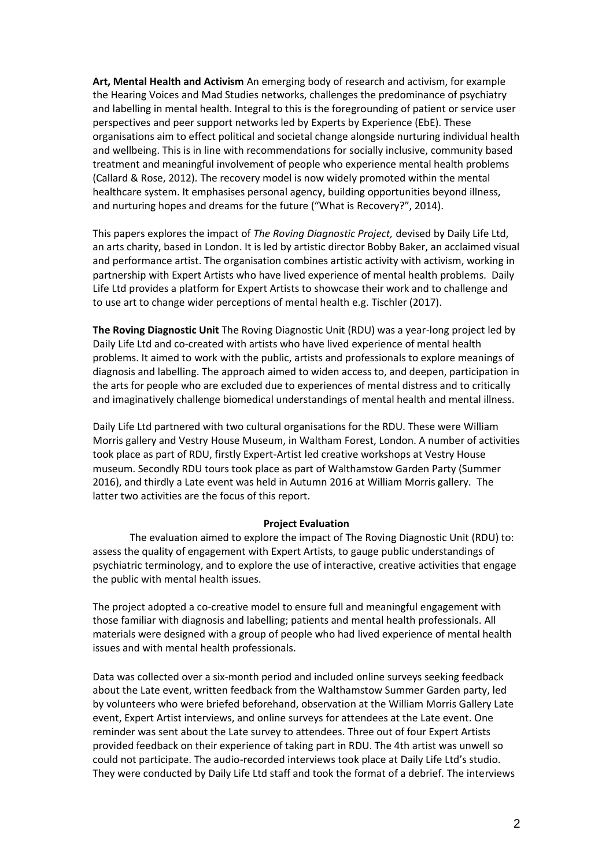**Art, Mental Health and Activism** An emerging body of research and activism, for example the Hearing Voices and Mad Studies networks, challenges the predominance of psychiatry and labelling in mental health. Integral to this is the foregrounding of patient or service user perspectives and peer support networks led by Experts by Experience (EbE). These organisations aim to effect political and societal change alongside nurturing individual health and wellbeing. This is in line with recommendations for socially inclusive, community based treatment and meaningful involvement of people who experience mental health problems (Callard & Rose, 2012). The recovery model is now widely promoted within the mental healthcare system. It emphasises personal agency, building opportunities beyond illness, and nurturing hopes and dreams for the future ("What is Recovery?", 2014).

This papers explores the impact of *The Roving Diagnostic Project,* devised by Daily Life Ltd, an arts charity, based in London. It is led by artistic director Bobby Baker, an acclaimed visual and performance artist. The organisation combines artistic activity with activism, working in partnership with Expert Artists who have lived experience of mental health problems. Daily Life Ltd provides a platform for Expert Artists to showcase their work and to challenge and to use art to change wider perceptions of mental health e.g. Tischler (2017).

**The Roving Diagnostic Unit** The Roving Diagnostic Unit (RDU) was a year-long project led by Daily Life Ltd and co-created with artists who have lived experience of mental health problems. It aimed to work with the public, artists and professionals to explore meanings of diagnosis and labelling. The approach aimed to widen access to, and deepen, participation in the arts for people who are excluded due to experiences of mental distress and to critically and imaginatively challenge biomedical understandings of mental health and mental illness.

Daily Life Ltd partnered with two cultural organisations for the RDU. These were William Morris gallery and Vestry House Museum, in Waltham Forest, London. A number of activities took place as part of RDU, firstly Expert-Artist led creative workshops at Vestry House museum. Secondly RDU tours took place as part of Walthamstow Garden Party (Summer 2016), and thirdly a Late event was held in Autumn 2016 at William Morris gallery. The latter two activities are the focus of this report.

### **Project Evaluation**

The evaluation aimed to explore the impact of The Roving Diagnostic Unit (RDU) to: assess the quality of engagement with Expert Artists, to gauge public understandings of psychiatric terminology, and to explore the use of interactive, creative activities that engage the public with mental health issues.

The project adopted a co-creative model to ensure full and meaningful engagement with those familiar with diagnosis and labelling; patients and mental health professionals. All materials were designed with a group of people who had lived experience of mental health issues and with mental health professionals.

Data was collected over a six-month period and included online surveys seeking feedback about the Late event, written feedback from the Walthamstow Summer Garden party, led by volunteers who were briefed beforehand, observation at the William Morris Gallery Late event, Expert Artist interviews, and online surveys for attendees at the Late event. One reminder was sent about the Late survey to attendees. Three out of four Expert Artists provided feedback on their experience of taking part in RDU. The 4th artist was unwell so could not participate. The audio-recorded interviews took place at Daily Life Ltd's studio. They were conducted by Daily Life Ltd staff and took the format of a debrief. The interviews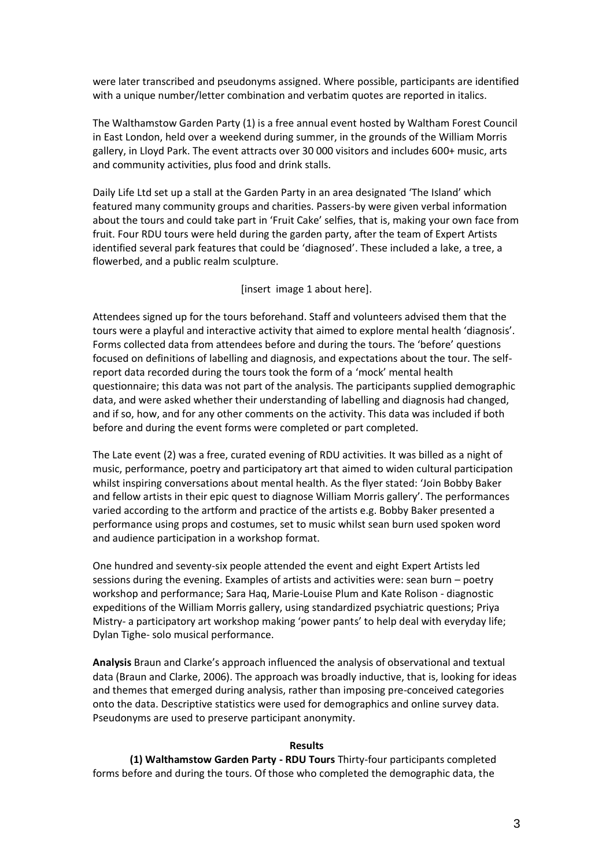were later transcribed and pseudonyms assigned. Where possible, participants are identified with a unique number/letter combination and verbatim quotes are reported in italics.

The Walthamstow Garden Party (1) is a free annual event hosted by Waltham Forest Council in East London, held over a weekend during summer, in the grounds of the William Morris gallery, in Lloyd Park. The event attracts over 30 000 visitors and includes 600+ music, arts and community activities, plus food and drink stalls.

Daily Life Ltd set up a stall at the Garden Party in an area designated 'The Island' which featured many community groups and charities. Passers-by were given verbal information about the tours and could take part in 'Fruit Cake' selfies, that is, making your own face from fruit. Four RDU tours were held during the garden party, after the team of Expert Artists identified several park features that could be 'diagnosed'. These included a lake, a tree, a flowerbed, and a public realm sculpture.

#### [insert image 1 about here].

Attendees signed up for the tours beforehand. Staff and volunteers advised them that the tours were a playful and interactive activity that aimed to explore mental health 'diagnosis'. Forms collected data from attendees before and during the tours. The 'before' questions focused on definitions of labelling and diagnosis, and expectations about the tour. The selfreport data recorded during the tours took the form of a 'mock' mental health questionnaire; this data was not part of the analysis. The participants supplied demographic data, and were asked whether their understanding of labelling and diagnosis had changed, and if so, how, and for any other comments on the activity. This data was included if both before and during the event forms were completed or part completed.

The Late event (2) was a free, curated evening of RDU activities. It was billed as a night of music, performance, poetry and participatory art that aimed to widen cultural participation whilst inspiring conversations about mental health. As the flyer stated: 'Join Bobby Baker and fellow artists in their epic quest to diagnose William Morris gallery'. The performances varied according to the artform and practice of the artists e.g. Bobby Baker presented a performance using props and costumes, set to music whilst sean burn used spoken word and audience participation in a workshop format.

One hundred and seventy-six people attended the event and eight Expert Artists led sessions during the evening. Examples of artists and activities were: sean burn – poetry workshop and performance; Sara Haq, Marie-Louise Plum and Kate Rolison - diagnostic expeditions of the William Morris gallery, using standardized psychiatric questions; Priya Mistry- a participatory art workshop making 'power pants' to help deal with everyday life; Dylan Tighe- solo musical performance.

**Analysis** Braun and Clarke's approach influenced the analysis of observational and textual data (Braun and Clarke, 2006). The approach was broadly inductive, that is, looking for ideas and themes that emerged during analysis, rather than imposing pre-conceived categories onto the data. Descriptive statistics were used for demographics and online survey data. Pseudonyms are used to preserve participant anonymity.

#### **Results**

**(1) Walthamstow Garden Party - RDU Tours** Thirty-four participants completed forms before and during the tours. Of those who completed the demographic data, the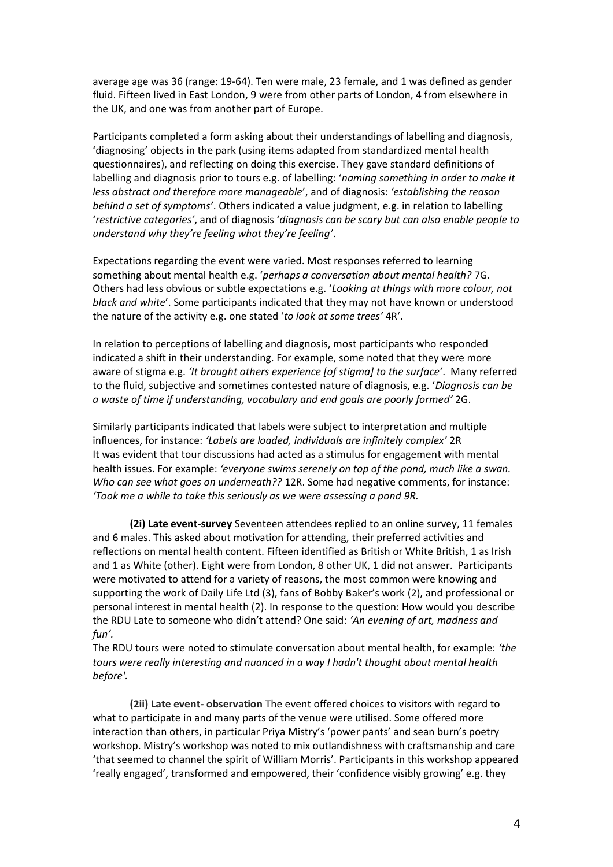average age was 36 (range: 19-64). Ten were male, 23 female, and 1 was defined as gender fluid. Fifteen lived in East London, 9 were from other parts of London, 4 from elsewhere in the UK, and one was from another part of Europe.

Participants completed a form asking about their understandings of labelling and diagnosis, 'diagnosing' objects in the park (using items adapted from standardized mental health questionnaires), and reflecting on doing this exercise. They gave standard definitions of labelling and diagnosis prior to tours e.g. of labelling: '*naming something in order to make it less abstract and therefore more manageable*', and of diagnosis: *'establishing the reason behind a set of symptoms'*. Others indicated a value judgment, e.g. in relation to labelling '*restrictive categories'*, and of diagnosis '*diagnosis can be scary but can also enable people to understand why they're feeling what they're feeling'*.

Expectations regarding the event were varied. Most responses referred to learning something about mental health e.g. '*perhaps a conversation about mental health?* 7G. Others had less obvious or subtle expectations e.g. '*Looking at things with more colour, not black and white*'. Some participants indicated that they may not have known or understood the nature of the activity e.g. one stated '*to look at some trees'* 4R'.

In relation to perceptions of labelling and diagnosis, most participants who responded indicated a shift in their understanding. For example, some noted that they were more aware of stigma e.g. *'It brought others experience [of stigma] to the surface'*. Many referred to the fluid, subjective and sometimes contested nature of diagnosis, e.g. '*Diagnosis can be a waste of time if understanding, vocabulary and end goals are poorly formed'* 2G.

Similarly participants indicated that labels were subject to interpretation and multiple influences, for instance: *'Labels are loaded, individuals are infinitely complex'* 2R It was evident that tour discussions had acted as a stimulus for engagement with mental health issues. For example: *'everyone swims serenely on top of the pond, much like a swan. Who can see what goes on underneath??* 12R. Some had negative comments, for instance: *'Took me a while to take this seriously as we were assessing a pond 9R.*

**(2i) Late event-survey** Seventeen attendees replied to an online survey, 11 females and 6 males. This asked about motivation for attending, their preferred activities and reflections on mental health content. Fifteen identified as British or White British, 1 as Irish and 1 as White (other). Eight were from London, 8 other UK, 1 did not answer. Participants were motivated to attend for a variety of reasons, the most common were knowing and supporting the work of Daily Life Ltd (3), fans of Bobby Baker's work (2), and professional or personal interest in mental health (2). In response to the question: How would you describe the RDU Late to someone who didn't attend? One said: *'An evening of art, madness and fun'.*

The RDU tours were noted to stimulate conversation about mental health, for example: *'the tours were really interesting and nuanced in a way I hadn't thought about mental health before'.*

**(2ii) Late event- observation** The event offered choices to visitors with regard to what to participate in and many parts of the venue were utilised. Some offered more interaction than others, in particular Priya Mistry's 'power pants' and sean burn's poetry workshop. Mistry's workshop was noted to mix outlandishness with craftsmanship and care 'that seemed to channel the spirit of William Morris'. Participants in this workshop appeared 'really engaged', transformed and empowered, their 'confidence visibly growing' e.g. they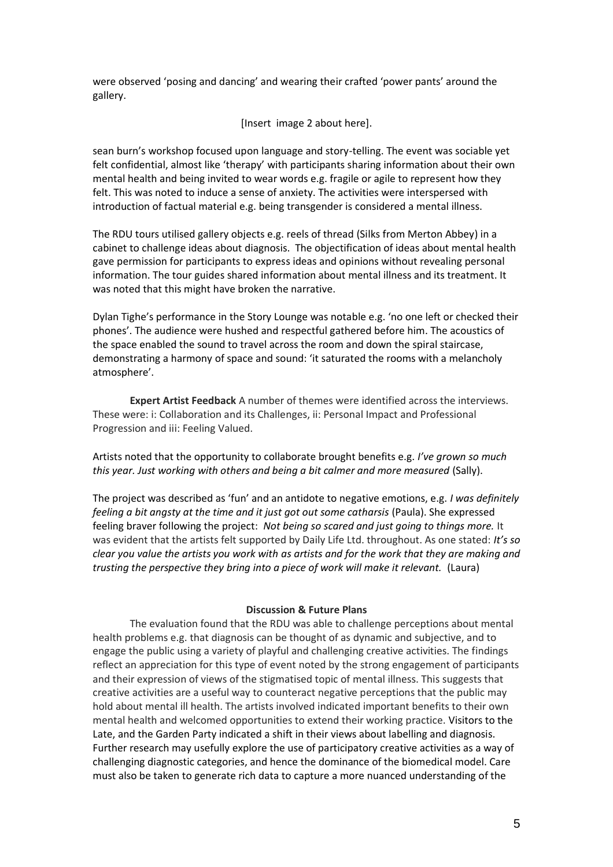were observed 'posing and dancing' and wearing their crafted 'power pants' around the gallery.

[Insert image 2 about here].

sean burn's workshop focused upon language and story-telling. The event was sociable yet felt confidential, almost like 'therapy' with participants sharing information about their own mental health and being invited to wear words e.g. fragile or agile to represent how they felt. This was noted to induce a sense of anxiety. The activities were interspersed with introduction of factual material e.g. being transgender is considered a mental illness.

The RDU tours utilised gallery objects e.g. reels of thread (Silks from Merton Abbey) in a cabinet to challenge ideas about diagnosis. The objectification of ideas about mental health gave permission for participants to express ideas and opinions without revealing personal information. The tour guides shared information about mental illness and its treatment. It was noted that this might have broken the narrative.

Dylan Tighe's performance in the Story Lounge was notable e.g. 'no one left or checked their phones'. The audience were hushed and respectful gathered before him. The acoustics of the space enabled the sound to travel across the room and down the spiral staircase, demonstrating a harmony of space and sound: 'it saturated the rooms with a melancholy atmosphere'.

**Expert Artist Feedback** A number of themes were identified across the interviews. These were: i: Collaboration and its Challenges, ii: Personal Impact and Professional Progression and iii: Feeling Valued.

Artists noted that the opportunity to collaborate brought benefits e.g. *I've grown so much this year. Just working with others and being a bit calmer and more measured* (Sally).

The project was described as 'fun' and an antidote to negative emotions, e.g. *I was definitely feeling a bit angsty at the time and it just got out some catharsis* (Paula). She expressed feeling braver following the project: *Not being so scared and just going to things more.* It was evident that the artists felt supported by Daily Life Ltd. throughout. As one stated: *It's so clear you value the artists you work with as artists and for the work that they are making and trusting the perspective they bring into a piece of work will make it relevant.* (Laura)

#### **Discussion & Future Plans**

The evaluation found that the RDU was able to challenge perceptions about mental health problems e.g. that diagnosis can be thought of as dynamic and subjective, and to engage the public using a variety of playful and challenging creative activities. The findings reflect an appreciation for this type of event noted by the strong engagement of participants and their expression of views of the stigmatised topic of mental illness. This suggests that creative activities are a useful way to counteract negative perceptions that the public may hold about mental ill health. The artists involved indicated important benefits to their own mental health and welcomed opportunities to extend their working practice. Visitors to the Late, and the Garden Party indicated a shift in their views about labelling and diagnosis. Further research may usefully explore the use of participatory creative activities as a way of challenging diagnostic categories, and hence the dominance of the biomedical model. Care must also be taken to generate rich data to capture a more nuanced understanding of the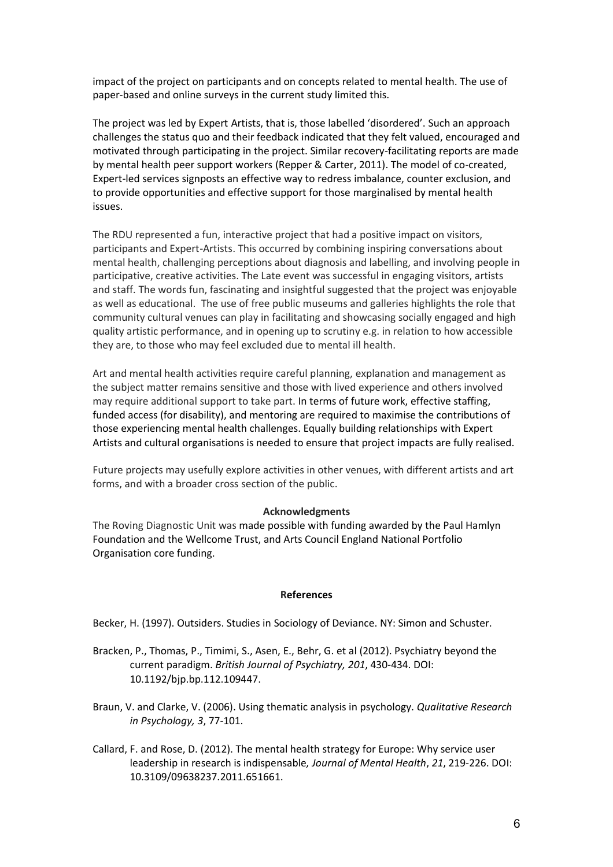impact of the project on participants and on concepts related to mental health. The use of paper-based and online surveys in the current study limited this.

The project was led by Expert Artists, that is, those labelled 'disordered'. Such an approach challenges the status quo and their feedback indicated that they felt valued, encouraged and motivated through participating in the project. Similar recovery-facilitating reports are made by mental health peer support workers (Repper & Carter, 2011). The model of co-created, Expert-led services signposts an effective way to redress imbalance, counter exclusion, and to provide opportunities and effective support for those marginalised by mental health issues.

The RDU represented a fun, interactive project that had a positive impact on visitors, participants and Expert-Artists. This occurred by combining inspiring conversations about mental health, challenging perceptions about diagnosis and labelling, and involving people in participative, creative activities. The Late event was successful in engaging visitors, artists and staff. The words fun, fascinating and insightful suggested that the project was enjoyable as well as educational. The use of free public museums and galleries highlights the role that community cultural venues can play in facilitating and showcasing socially engaged and high quality artistic performance, and in opening up to scrutiny e.g. in relation to how accessible they are, to those who may feel excluded due to mental ill health.

Art and mental health activities require careful planning, explanation and management as the subject matter remains sensitive and those with lived experience and others involved may require additional support to take part. In terms of future work, effective staffing, funded access (for disability), and mentoring are required to maximise the contributions of those experiencing mental health challenges. Equally building relationships with Expert Artists and cultural organisations is needed to ensure that project impacts are fully realised.

Future projects may usefully explore activities in other venues, with different artists and art forms, and with a broader cross section of the public.

# **Acknowledgments**

The Roving Diagnostic Unit was made possible with funding awarded by the Paul Hamlyn Foundation and the Wellcome Trust, and Arts Council England National Portfolio Organisation core funding.

#### **References**

Becker, H. (1997). Outsiders. Studies in Sociology of Deviance. NY: Simon and Schuster.

- Bracken, P., Thomas, P., Timimi, S., Asen, E., Behr, G. et al (2012). Psychiatry beyond the current paradigm. *British Journal of Psychiatry, 201*, 430-434. DOI: 10.1192/bjp.bp.112.109447.
- Braun, V. and Clarke, V. (2006). Using thematic analysis in psychology. *Qualitative Research in Psychology, 3*, 77-101.
- Callard, F. and Rose, D. (2012). The mental health strategy for Europe: Why service user leadership in research is indispensable*, Journal of Mental Health*, *21*, 219-226. DOI: 10.3109/09638237.2011.651661.